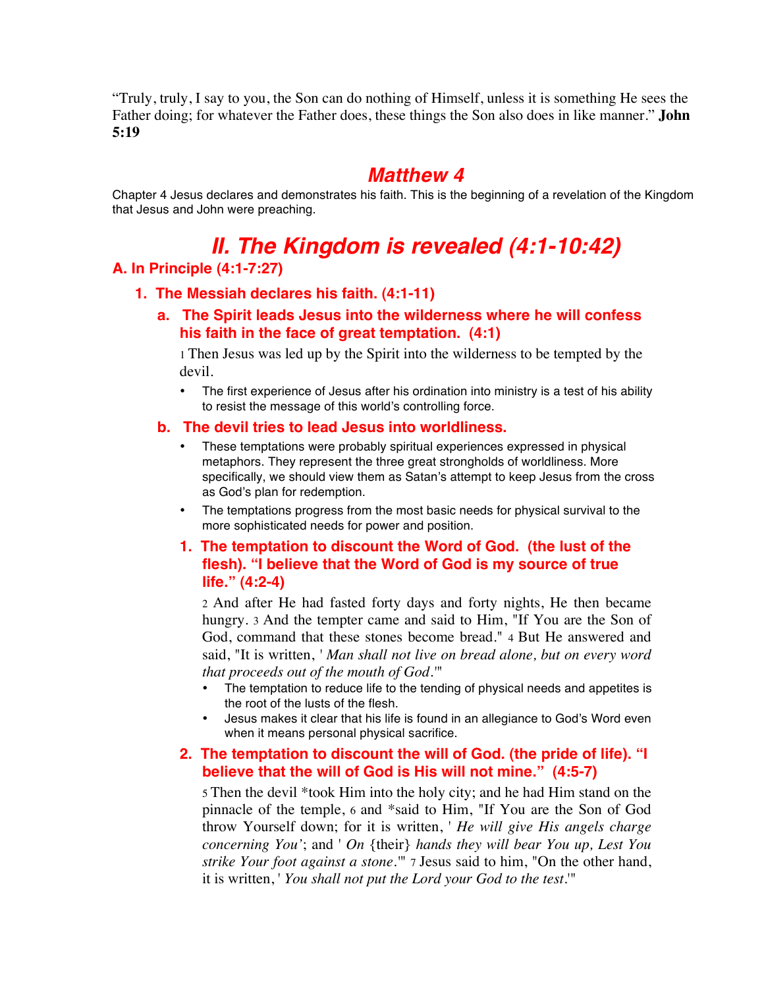"Truly, truly, I say to you, the Son can do nothing of Himself, unless it is something He sees the Father doing; for whatever the Father does, these things the Son also does in like manner." **John 5:19**

# *Matthew 4*

Chapter 4 Jesus declares and demonstrates his faith. This is the beginning of a revelation of the Kingdom that Jesus and John were preaching.

# *II. The Kingdom is revealed (4:1-10:42)*

# **A. In Principle (4:1-7:27)**

#### **1. The Messiah declares his faith. (4:1-11)**

**a. The Spirit leads Jesus into the wilderness where he will confess his faith in the face of great temptation. (4:1)**

1 Then Jesus was led up by the Spirit into the wilderness to be tempted by the devil.

• The first experience of Jesus after his ordination into ministry is a test of his ability to resist the message of this world's controlling force.

#### **b. The devil tries to lead Jesus into worldliness.**

- These temptations were probably spiritual experiences expressed in physical metaphors. They represent the three great strongholds of worldliness. More specifically, we should view them as Satan's attempt to keep Jesus from the cross as God's plan for redemption.
- The temptations progress from the most basic needs for physical survival to the more sophisticated needs for power and position.

# **1. The temptation to discount the Word of God. (the lust of the flesh). "I believe that the Word of God is my source of true life." (4:2-4)**

2 And after He had fasted forty days and forty nights, He then became hungry. 3 And the tempter came and said to Him, "If You are the Son of God, command that these stones become bread." 4 But He answered and said, "It is written, *' Man shall not live on bread alone, but on every word that proceeds out of the mouth of God.'*"

- The temptation to reduce life to the tending of physical needs and appetites is the root of the lusts of the flesh.
- Jesus makes it clear that his life is found in an allegiance to God's Word even when it means personal physical sacrifice.

# **2. The temptation to discount the will of God. (the pride of life). "I believe that the will of God is His will not mine." (4:5-7)**

5 Then the devil \*took Him into the holy city; and he had Him stand on the pinnacle of the temple, 6 and \*said to Him, "If You are the Son of God throw Yourself down; for it is written, ' *He will give His angels charge concerning You'*; and ' *On* {their} *hands they will bear You up, Lest You strike Your foot against a stone.'*" 7 Jesus said to him, "On the other hand, it is written, ' *You shall not put the Lord your God to the test.*'"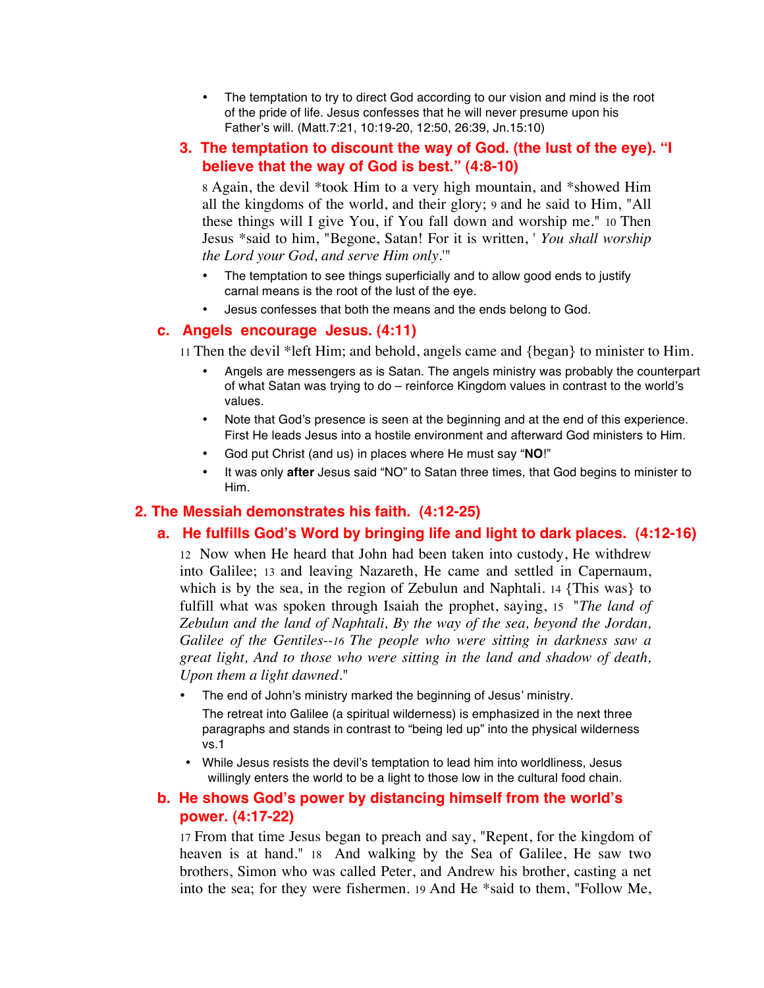- The temptation to try to direct God according to our vision and mind is the root of the pride of life. Jesus confesses that he will never presume upon his Father's will. (Matt.7:21, 10:19-20, 12:50, 26:39, Jn.15:10)
- **3. The temptation to discount the way of God. (the lust of the eye). "I believe that the way of God is best." (4:8-10)**

8 Again, the devil \*took Him to a very high mountain, and \*showed Him all the kingdoms of the world, and their glory; 9 and he said to Him, "All these things will I give You, if You fall down and worship me." 10 Then Jesus \*said to him, "Begone, Satan! For it is written, ' *You shall worship the Lord your God, and serve Him only.*'"

- The temptation to see things superficially and to allow good ends to justify carnal means is the root of the lust of the eye.
- Jesus confesses that both the means and the ends belong to God.

#### **c. Angels encourage Jesus. (4:11)**

11 Then the devil \*left Him; and behold, angels came and {began} to minister to Him.

- Angels are messengers as is Satan. The angels ministry was probably the counterpart of what Satan was trying to do – reinforce Kingdom values in contrast to the world's values.
- Note that God's presence is seen at the beginning and at the end of this experience. First He leads Jesus into a hostile environment and afterward God ministers to Him.
- God put Christ (and us) in places where He must say "**NO**!"
- It was only **after** Jesus said "NO" to Satan three times, that God begins to minister to Him.

#### **2. The Messiah demonstrates his faith. (4:12-25)**

# **a. He fulfills God's Word by bringing life and light to dark places. (4:12-16)**

12 Now when He heard that John had been taken into custody, He withdrew into Galilee; 13 and leaving Nazareth, He came and settled in Capernaum, which is by the sea, in the region of Zebulun and Naphtali. 14 {This was} to fulfill what was spoken through Isaiah the prophet, saying, 15 "*The land of Zebulun and the land of Naphtali, By the way of the sea, beyond the Jordan, Galilee of the Gentiles--16 The people who were sitting in darkness saw a great light, And to those who were sitting in the land and shadow of death, Upon them a light dawned*."

- The end of John's ministry marked the beginning of Jesus' ministry. The retreat into Galilee (a spiritual wilderness) is emphasized in the next three paragraphs and stands in contrast to "being led up" into the physical wilderness vs.1
- While Jesus resists the devil's temptation to lead him into worldliness, Jesus willingly enters the world to be a light to those low in the cultural food chain.

# **b. He shows God's power by distancing himself from the world's power. (4:17-22)**

17 From that time Jesus began to preach and say, "Repent, for the kingdom of heaven is at hand." 18 And walking by the Sea of Galilee, He saw two brothers, Simon who was called Peter, and Andrew his brother, casting a net into the sea; for they were fishermen. 19 And He \*said to them, "Follow Me,